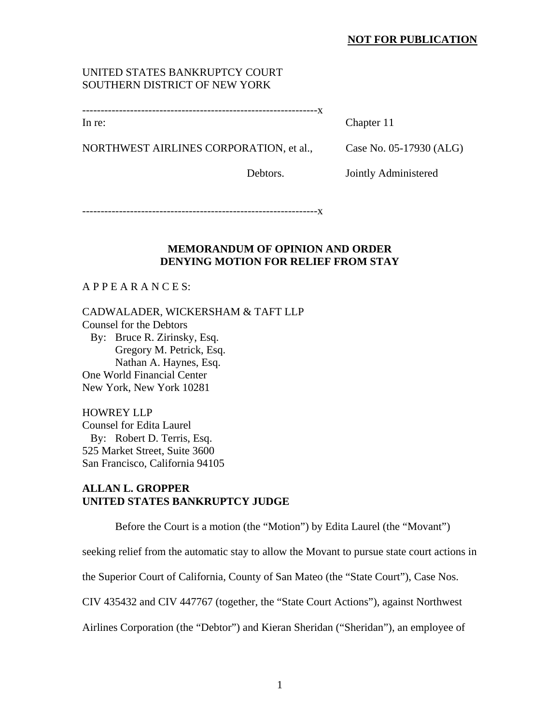### **NOT FOR PUBLICATION**

## UNITED STATES BANKRUPTCY COURT SOUTHERN DISTRICT OF NEW YORK

----------------------------------------------------------------x

In re: Chapter 11

NORTHWEST AIRLINES CORPORATION, et al., Case No. 05-17930 (ALG)

Debtors. Jointly Administered

----------------------------------------------------------------x

### **MEMORANDUM OF OPINION AND ORDER DENYING MOTION FOR RELIEF FROM STAY**

A P P E A R A N C E S:

CADWALADER, WICKERSHAM & TAFT LLP Counsel for the Debtors By: Bruce R. Zirinsky, Esq. Gregory M. Petrick, Esq. Nathan A. Haynes, Esq. One World Financial Center New York, New York 10281

HOWREY LLP Counsel for Edita Laurel By: Robert D. Terris, Esq. 525 Market Street, Suite 3600 San Francisco, California 94105

# **ALLAN L. GROPPER UNITED STATES BANKRUPTCY JUDGE**

Before the Court is a motion (the "Motion") by Edita Laurel (the "Movant")

seeking relief from the automatic stay to allow the Movant to pursue state court actions in

the Superior Court of California, County of San Mateo (the "State Court"), Case Nos.

CIV 435432 and CIV 447767 (together, the "State Court Actions"), against Northwest

Airlines Corporation (the "Debtor") and Kieran Sheridan ("Sheridan"), an employee of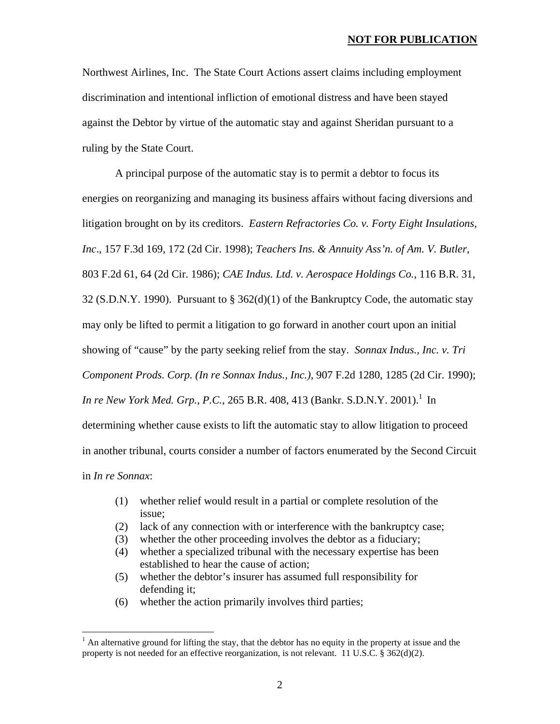#### **NOT FOR PUBLICATION**

Northwest Airlines, Inc. The State Court Actions assert claims including employment discrimination and intentional infliction of emotional distress and have been stayed against the Debtor by virtue of the automatic stay and against Sheridan pursuant to a ruling by the State Court.

A principal purpose of the automatic stay is to permit a debtor to focus its energies on reorganizing and managing its business affairs without facing diversions and litigation brought on by its creditors. *Eastern Refractories Co. v. Forty Eight Insulations, Inc*., 157 F.3d 169, 172 (2d Cir. 1998); *Teachers Ins. & Annuity Ass'n. of Am. V. Butler*, 803 F.2d 61, 64 (2d Cir. 1986); *CAE Indus. Ltd. v. Aerospace Holdings Co.*, 116 B.R. 31, 32 (S.D.N.Y. 1990). Pursuant to § 362(d)(1) of the Bankruptcy Code, the automatic stay may only be lifted to permit a litigation to go forward in another court upon an initial showing of "cause" by the party seeking relief from the stay. *Sonnax Indus., Inc. v. Tri Component Prods. Corp. (In re Sonnax Indus., Inc.)*, 907 F.2d 1280, 1285 (2d Cir. 1990); *In re New York Med. Grp., P.C.*, 265 B.R. 408, 413 (Bankr. S.D.N.Y. 2001).<sup>1</sup> In determining whether cause exists to lift the automatic stay to allow litigation to proceed in another tribunal, courts consider a number of factors enumerated by the Second Circuit in *In re Sonnax*:

- (1) whether relief would result in a partial or complete resolution of the issue;
- (2) lack of any connection with or interference with the bankruptcy case;
- (3) whether the other proceeding involves the debtor as a fiduciary;
- (4) whether a specialized tribunal with the necessary expertise has been established to hear the cause of action;
- (5) whether the debtor's insurer has assumed full responsibility for defending it;
- (6) whether the action primarily involves third parties;

 $\overline{a}$ 

 $<sup>1</sup>$  An alternative ground for lifting the stay, that the debtor has no equity in the property at issue and the</sup> property is not needed for an effective reorganization, is not relevant. 11 U.S.C. § 362(d)(2).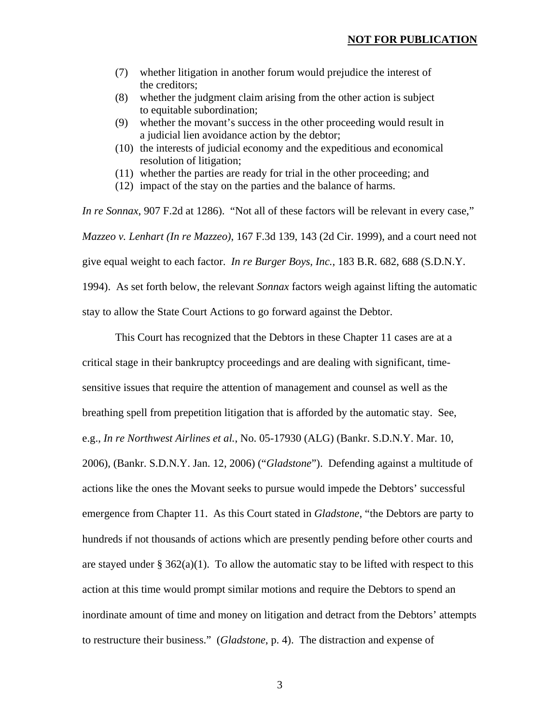- (7) whether litigation in another forum would prejudice the interest of the creditors;
- (8) whether the judgment claim arising from the other action is subject to equitable subordination;
- (9) whether the movant's success in the other proceeding would result in a judicial lien avoidance action by the debtor;
- (10) the interests of judicial economy and the expeditious and economical resolution of litigation;
- (11) whether the parties are ready for trial in the other proceeding; and
- (12) impact of the stay on the parties and the balance of harms.

*In re Sonnax*, 907 F.2d at 1286). "Not all of these factors will be relevant in every case," *Mazzeo v. Lenhart (In re Mazzeo)*, 167 F.3d 139, 143 (2d Cir. 1999), and a court need not give equal weight to each factor. *In re Burger Boys, Inc.*, 183 B.R. 682, 688 (S.D.N.Y. 1994). As set forth below, the relevant *Sonnax* factors weigh against lifting the automatic stay to allow the State Court Actions to go forward against the Debtor.

This Court has recognized that the Debtors in these Chapter 11 cases are at a critical stage in their bankruptcy proceedings and are dealing with significant, timesensitive issues that require the attention of management and counsel as well as the breathing spell from prepetition litigation that is afforded by the automatic stay. See, e.g., *In re Northwest Airlines et al.*, No. 05-17930 (ALG) (Bankr. S.D.N.Y. Mar. 10, 2006), (Bankr. S.D.N.Y. Jan. 12, 2006) ("*Gladstone*"). Defending against a multitude of actions like the ones the Movant seeks to pursue would impede the Debtors' successful emergence from Chapter 11. As this Court stated in *Gladstone*, "the Debtors are party to hundreds if not thousands of actions which are presently pending before other courts and are stayed under  $\S 362(a)(1)$ . To allow the automatic stay to be lifted with respect to this action at this time would prompt similar motions and require the Debtors to spend an inordinate amount of time and money on litigation and detract from the Debtors' attempts to restructure their business." (*Gladstone*, p. 4). The distraction and expense of

3